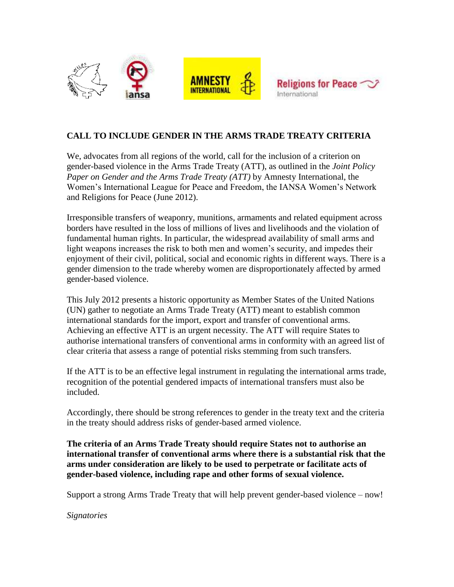



## **CALL TO INCLUDE GENDER IN THE ARMS TRADE TREATY CRITERIA**

We, advocates from all regions of the world, call for the inclusion of a criterion on gender-based violence in the Arms Trade Treaty (ATT), as outlined in the *Joint Policy Paper on Gender and the Arms Trade Treaty (ATT)* by Amnesty International, the Women's International League for Peace and Freedom, the IANSA Women's Network and Religions for Peace (June 2012).

Irresponsible transfers of weaponry, munitions, armaments and related equipment across borders have resulted in the loss of millions of lives and livelihoods and the violation of fundamental human rights. In particular, the widespread availability of small arms and light weapons increases the risk to both men and women's security, and impedes their enjoyment of their civil, political, social and economic rights in different ways. There is a gender dimension to the trade whereby women are disproportionately affected by armed gender-based violence.

This July 2012 presents a historic opportunity as Member States of the United Nations (UN) gather to negotiate an Arms Trade Treaty (ATT) meant to establish common international standards for the import, export and transfer of conventional arms. Achieving an effective ATT is an urgent necessity. The ATT will require States to authorise international transfers of conventional arms in conformity with an agreed list of clear criteria that assess a range of potential risks stemming from such transfers.

If the ATT is to be an effective legal instrument in regulating the international arms trade, recognition of the potential gendered impacts of international transfers must also be included.

Accordingly, there should be strong references to gender in the treaty text and the criteria in the treaty should address risks of gender-based armed violence.

**The criteria of an Arms Trade Treaty should require States not to authorise an international transfer of conventional arms where there is a substantial risk that the arms under consideration are likely to be used to perpetrate or facilitate acts of gender-based violence, including rape and other forms of sexual violence.**

Support a strong Arms Trade Treaty that will help prevent gender-based violence – now!

*Signatories*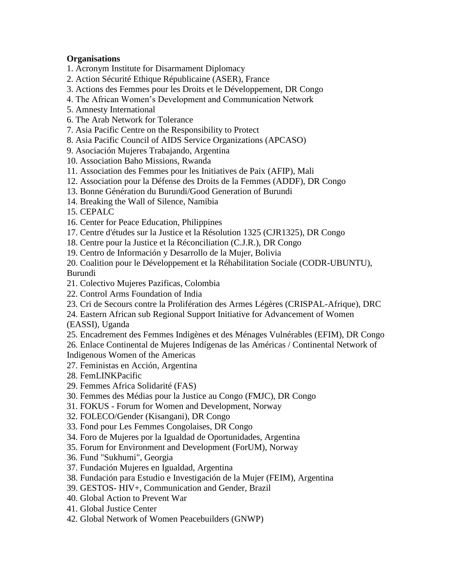## **Organisations**

- 1. Acronym Institute for Disarmament Diplomacy
- 2. Action Sécurité Ethique Républicaine (ASER), France
- 3. Actions des Femmes pour les Droits et le Développement, DR Congo
- 4. The African Women's Development and Communication Network
- 5. Amnesty International
- 6. The Arab Network for Tolerance
- 7. Asia Pacific Centre on the Responsibility to Protect
- 8. Asia Pacific Council of AIDS Service Organizations (APCASO)
- 9. Asociación Mujeres Trabajando, Argentina
- 10. Association Baho Missions, Rwanda
- 11. Association des Femmes pour les Initiatives de Paix (AFIP), Mali
- 12. Association pour la Défense des Droits de la Femmes (ADDF), DR Congo
- 13. Bonne Génération du Burundi/Good Generation of Burundi
- 14. Breaking the Wall of Silence, Namibia
- 15. CEPALC
- 16. Center for Peace Education, Philippines
- 17. Centre d'études sur la Justice et la Résolution 1325 (CJR1325), DR Congo
- 18. Centre pour la Justice et la Réconciliation (C.J.R.), DR Congo
- 19. Centro de Información y Desarrollo de la Mujer, Bolivia
- 20. Coalition pour le Développement et la Réhabilitation Sociale (CODR-UBUNTU), Burundi
- 21. Colectivo Mujeres Pazificas, Colombia
- 22. Control Arms Foundation of India
- 23. Cri de Secours contre la Prolifération des Armes Légères (CRISPAL-Afrique), DRC
- 24. Eastern African sub Regional Support Initiative for Advancement of Women
- (EASSI), Uganda
- 25. Encadrement des Femmes Indigènes et des Ménages Vulnérables (EFIM), DR Congo
- 26. Enlace Continental de Mujeres Indígenas de las Américas / Continental Network of

Indigenous Women of the Americas

- 27. Feministas en Acción, Argentina
- 28. FemLINKPacific
- 29. Femmes Africa Solidarité (FAS)
- 30. Femmes des Médias pour la Justice au Congo (FMJC), DR Congo
- 31. FOKUS Forum for Women and Development, Norway
- 32. FOLECO/Gender (Kisangani), DR Congo
- 33. Fond pour Les Femmes Congolaises, DR Congo
- 34. Foro de Mujeres por la Igualdad de Oportunidades, Argentina
- 35. Forum for Environment and Development (ForUM), Norway
- 36. Fund "Sukhumi", Georgia
- 37. Fundación Mujeres en Igualdad, Argentina
- 38. Fundación para Estudio e Investigación de la Mujer (FEIM), Argentina
- 39. GESTOS- HIV+, Communication and Gender, Brazil
- 40. Global Action to Prevent War
- 41. Global Justice Center
- 42. Global Network of Women Peacebuilders (GNWP)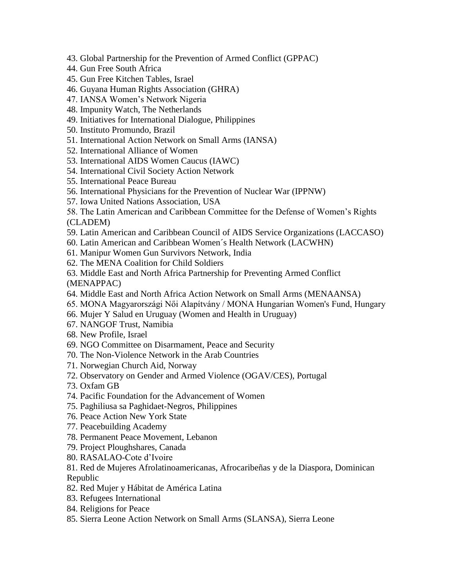- 43. Global Partnership for the Prevention of Armed Conflict (GPPAC)
- 44. Gun Free South Africa
- 45. Gun Free Kitchen Tables, Israel
- 46. Guyana Human Rights Association (GHRA)
- 47. IANSA Women's Network Nigeria
- 48. Impunity Watch, The Netherlands
- 49. Initiatives for International Dialogue, Philippines
- 50. Instituto Promundo, Brazil
- 51. International Action Network on Small Arms (IANSA)
- 52. International Alliance of Women
- 53. International AIDS Women Caucus (IAWC)
- 54. International Civil Society Action Network
- 55. International Peace Bureau
- 56. International Physicians for the Prevention of Nuclear War (IPPNW)
- 57. Iowa United Nations Association, USA
- 58. The Latin American and Caribbean Committee for the Defense of Women's Rights (CLADEM)
- 59. Latin American and Caribbean Council of AIDS Service Organizations (LACCASO)
- 60. Latin American and Caribbean Women´s Health Network (LACWHN)
- 61. Manipur Women Gun Survivors Network, India
- 62. The MENA Coalition for Child Soldiers
- 63. Middle East and North Africa Partnership for Preventing Armed Conflict (MENAPPAC)
- 64. Middle East and North Africa Action Network on Small Arms (MENAANSA)
- 65. MONA Magyarországi Női Alapítvány / MONA Hungarian Women's Fund, Hungary
- 66. Mujer Y Salud en Uruguay (Women and Health in Uruguay)
- 67. NANGOF Trust, Namibia
- 68. New Profile, Israel
- 69. NGO Committee on Disarmament, Peace and Security
- 70. The Non-Violence Network in the Arab Countries
- 71. Norwegian Church Aid, Norway
- 72. Observatory on Gender and Armed Violence (OGAV/CES), Portugal
- 73. Oxfam GB
- 74. Pacific Foundation for the Advancement of Women
- 75. Paghiliusa sa Paghidaet-Negros, Philippines
- 76. Peace Action New York State
- 77. Peacebuilding Academy
- 78. Permanent Peace Movement, Lebanon
- 79. Project Ploughshares, Canada
- 80. RASALAO-Cote d'Ivoire
- 81. Red de Mujeres Afrolatinoamericanas, Afrocaribeñas y de la Diaspora, Dominican Republic
- 82. Red Mujer y Hábitat de América Latina
- 83. Refugees International
- 84. Religions for Peace
- 85. Sierra Leone Action Network on Small Arms (SLANSA), Sierra Leone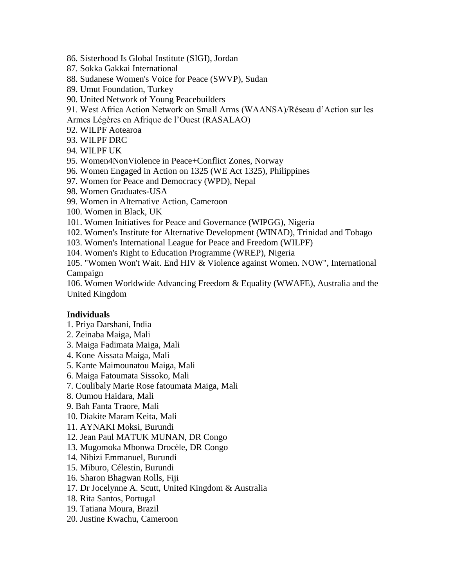- 86. Sisterhood Is Global Institute (SIGI), Jordan
- 87. Sokka Gakkai International
- 88. Sudanese Women's Voice for Peace (SWVP), Sudan
- 89. Umut Foundation, Turkey
- 90. United Network of Young Peacebuilders
- 91. West Africa Action Network on Small Arms (WAANSA)/Réseau d'Action sur les
- Armes Légères en Afrique de l'Ouest (RASALAO)
- 92. WILPF Aotearoa
- 93. WILPF DRC
- 94. WILPF UK
- 95. Women4NonViolence in Peace+Conflict Zones, Norway
- 96. Women Engaged in Action on 1325 (WE Act 1325), Philippines
- 97. Women for Peace and Democracy (WPD), Nepal
- 98. Women Graduates-USA
- 99. Women in Alternative Action, Cameroon
- 100. Women in Black, UK
- 101. Women Initiatives for Peace and Governance (WIPGG), Nigeria
- 102. Women's Institute for Alternative Development (WINAD), Trinidad and Tobago
- 103. Women's International League for Peace and Freedom (WILPF)
- 104. Women's Right to Education Programme (WREP), Nigeria

105. "Women Won't Wait. End HIV & Violence against Women. NOW", International Campaign

106. Women Worldwide Advancing Freedom & Equality (WWAFE), Australia and the United Kingdom

## **Individuals**

- 1. Priya Darshani, India
- 2. Zeinaba Maiga, Mali
- 3. Maiga Fadimata Maiga, Mali
- 4. Kone Aissata Maiga, Mali
- 5. Kante Maimounatou Maiga, Mali
- 6. Maiga Fatoumata Sissoko, Mali
- 7. Coulibaly Marie Rose fatoumata Maiga, Mali
- 8. Oumou Haidara, Mali
- 9. Bah Fanta Traore, Mali
- 10. Diakite Maram Keita, Mali
- 11. AYNAKI Moksi, Burundi
- 12. Jean Paul MATUK MUNAN, DR Congo
- 13. Mugomoka Mbonwa Drocèle, DR Congo
- 14. Nibizi Emmanuel, Burundi
- 15. Miburo, Célestin, Burundi
- 16. Sharon Bhagwan Rolls, Fiji
- 17. Dr Jocelynne A. Scutt, United Kingdom & Australia
- 18. Rita Santos, Portugal
- 19. Tatiana Moura, Brazil
- 20. Justine Kwachu, Cameroon